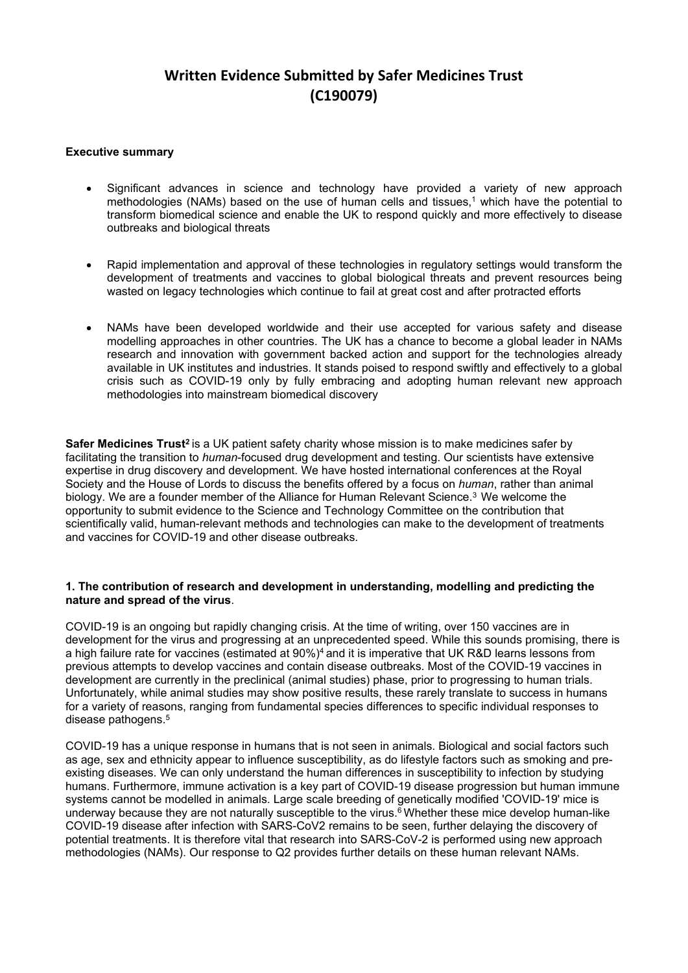# **Written Evidence Submitted by Safer Medicines Trust (C190079)**

## **Executive summary**

- Significant advances in science and technology have provided a variety of new approach methodologies (NAMs) based on the use of human cells and tissues,<sup>1</sup> which have the potential to transform biomedical science and enable the UK to respond quickly and more effectively to disease outbreaks and biological threats
- Rapid implementation and approval of these technologies in regulatory settings would transform the development of treatments and vaccines to global biological threats and prevent resources being wasted on legacy technologies which continue to fail at great cost and after protracted efforts
- NAMs have been developed worldwide and their use accepted for various safety and disease modelling approaches in other countries. The UK has a chance to become a global leader in NAMs research and innovation with government backed action and support for the technologies already available in UK institutes and industries. It stands poised to respond swiftly and effectively to a global crisis such as COVID-19 only by fully embracing and adopting human relevant new approach methodologies into mainstream biomedical discovery

**Safer Medicines Trust<sup>2</sup> is a UK patient safety charity whose mission is to make medicines safer by** facilitating the transition to *human*-focused drug development and testing. Our scientists have extensive expertise in drug discovery and development. We have hosted international conferences at the Royal Society and the House of Lords to discuss the benefits offered by a focus on *human*, rather than animal biology. We are a founder member of the Alliance for Human Relevant Science.<sup>3</sup> We welcome the opportunity to submit evidence to the Science and Technology Committee on the contribution that scientifically valid, human-relevant methods and technologies can make to the development of treatments and vaccines for COVID-19 and other disease outbreaks.

## **1. The contribution of research and development in understanding, modelling and predicting the nature and spread of the virus**.

COVID-19 is an ongoing but rapidly changing crisis. At the time of writing, over 150 vaccines are in development for the virus and progressing at an unprecedented speed. While this sounds promising, there is a high failure rate for vaccines (estimated at 90%)<sup>4</sup> and it is imperative that UK R&D learns lessons from previous attempts to develop vaccines and contain disease outbreaks. Most of the COVID-19 vaccines in development are currently in the preclinical (animal studies) phase, prior to progressing to human trials. Unfortunately, while animal studies may show positive results, these rarely translate to success in humans for a variety of reasons, ranging from fundamental species differences to specific individual responses to disease pathogens.<sup>5</sup>

COVID-19 has a unique response in humans that is not seen in animals. Biological and social factors such as age, sex and ethnicity appear to influence susceptibility, as do lifestyle factors such as smoking and preexisting diseases. We can only understand the human differences in susceptibility to infection by studying humans. Furthermore, immune activation is a key part of COVID-19 disease progression but human immune systems cannot be modelled in animals. Large scale breeding of genetically modified 'COVID-19' mice is underway because they are not naturally susceptible to the virus.<sup>6</sup> Whether these mice develop human-like COVID-19 disease after infection with SARS-CoV2 remains to be seen, further delaying the discovery of potential treatments. It is therefore vital that research into SARS-CoV-2 is performed using new approach methodologies (NAMs). Our response to Q2 provides further details on these human relevant NAMs.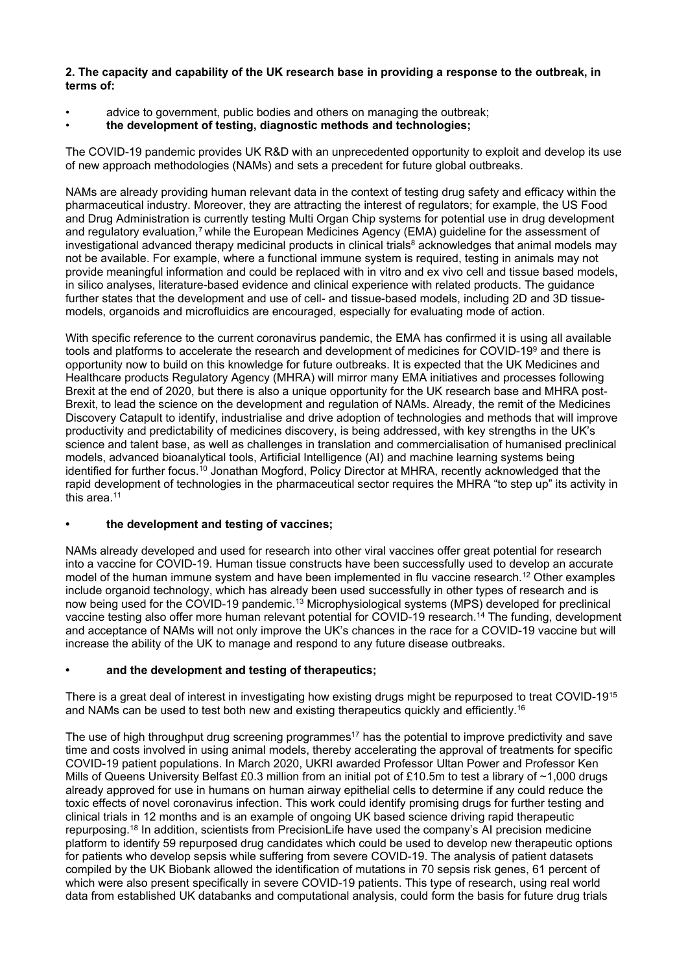## **2. The capacity and capability of the UK research base in providing a response to the outbreak, in terms of:**

- advice to government, public bodies and others on managing the outbreak;
- **the development of testing, diagnostic methods and technologies;**

The COVID-19 pandemic provides UK R&D with an unprecedented opportunity to exploit and develop its use of new approach methodologies (NAMs) and sets a precedent for future global outbreaks.

NAMs are already providing human relevant data in the context of testing drug safety and efficacy within the pharmaceutical industry. Moreover, they are attracting the interest of regulators; for example, the US Food and Drug Administration is currently testing Multi Organ Chip systems for potential use in drug development and regulatory evaluation,<sup>7</sup> while the European Medicines Agency (EMA) guideline for the assessment of investigational advanced therapy medicinal products in clinical trials<sup>8</sup> acknowledges that animal models may not be available. For example, where a functional immune system is required, testing in animals may not provide meaningful information and could be replaced with in vitro and ex vivo cell and tissue based models, in silico analyses, literature-based evidence and clinical experience with related products. The guidance further states that the development and use of cell- and tissue-based models, including 2D and 3D tissuemodels, organoids and microfluidics are encouraged, especially for evaluating mode of action.

With specific reference to the current coronavirus pandemic, the EMA has confirmed it is using all available tools and platforms to accelerate the research and development of medicines for COVID-19<sup>9</sup> and there is opportunity now to build on this knowledge for future outbreaks. It is expected that the UK Medicines and Healthcare products Regulatory Agency (MHRA) will mirror many EMA initiatives and processes following Brexit at the end of 2020, but there is also a unique opportunity for the UK research base and MHRA post-Brexit, to lead the science on the development and regulation of NAMs. Already, the remit of the Medicines Discovery Catapult to identify, industrialise and drive adoption of technologies and methods that will improve productivity and predictability of medicines discovery, is being addressed, with key strengths in the UK's science and talent base, as well as challenges in translation and commercialisation of humanised preclinical models, advanced bioanalytical tools, Artificial Intelligence (AI) and machine learning systems being identified for further focus.<sup>10</sup> Jonathan Mogford, Policy Director at MHRA, recently acknowledged that the rapid development of technologies in the pharmaceutical sector requires the MHRA "to step up" its activity in this area.<sup>11</sup>

# **• the development and testing of vaccines;**

NAMs already developed and used for research into other viral vaccines offer great potential for research into a vaccine for COVID-19. Human tissue constructs have been successfully used to develop an accurate model of the human immune system and have been implemented in flu vaccine research.<sup>12</sup> Other examples include organoid technology, which has already been used successfully in other types of research and is now being used for the COVID-19 pandemic.<sup>13</sup> Microphysiological systems (MPS) developed for preclinical vaccine testing also offer more human relevant potential for COVID-19 research.<sup>14</sup> The funding, development and acceptance of NAMs will not only improve the UK's chances in the race for a COVID-19 vaccine but will increase the ability of the UK to manage and respond to any future disease outbreaks.

# **• and the development and testing of therapeutics;**

There is a great deal of interest in investigating how existing drugs might be repurposed to treat COVID-19<sup>15</sup> and NAMs can be used to test both new and existing therapeutics quickly and efficiently.<sup>16</sup>

The use of high throughput drug screening programmes<sup>17</sup> has the potential to improve predictivity and save time and costs involved in using animal models, thereby accelerating the approval of treatments for specific COVID-19 patient populations. In March 2020, UKRI awarded Professor Ultan Power and Professor Ken Mills of Queens University Belfast £0.3 million from an initial pot of £10.5m to test a library of ~1,000 drugs already approved for use in humans on human airway epithelial cells to determine if any could reduce the toxic effects of novel coronavirus infection. This work could identify promising drugs for further testing and clinical trials in 12 months and is an example of ongoing UK based science driving rapid therapeutic repurposing.<sup>18</sup> In addition, scientists from PrecisionLife have used the company's AI precision medicine platform to identify 59 repurposed drug candidates which could be used to develop new therapeutic options for patients who develop sepsis while suffering from severe COVID-19. The analysis of patient datasets compiled by the UK Biobank allowed the identification of mutations in 70 sepsis risk genes, 61 percent of which were also present specifically in severe COVID-19 patients. This type of research, using real world data from established UK databanks and computational analysis, could form the basis for future drug trials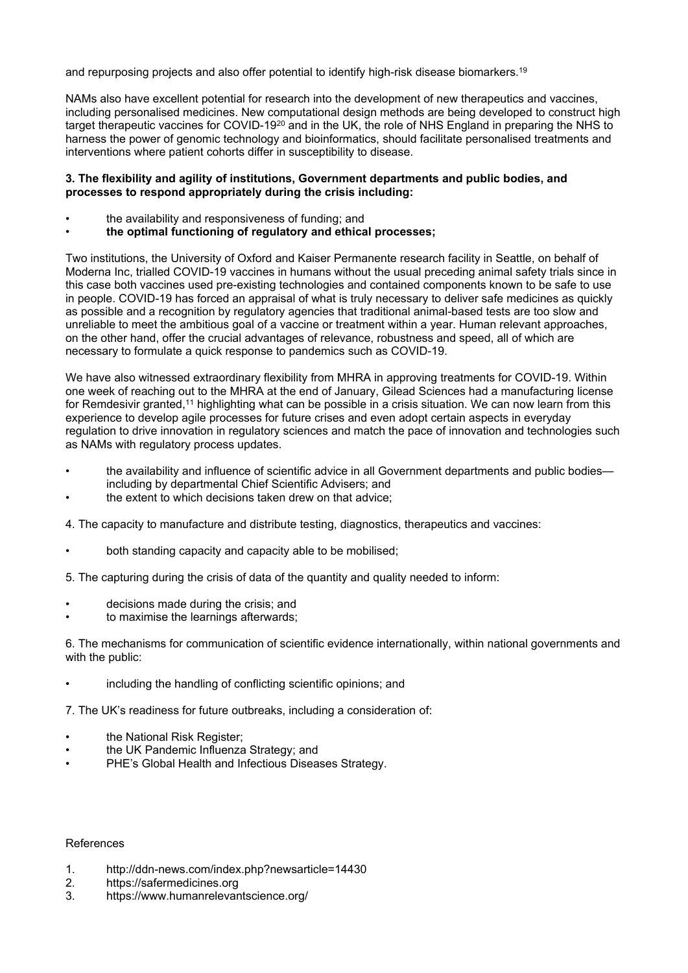and repurposing projects and also offer potential to identify high-risk disease biomarkers.<sup>19</sup>

NAMs also have excellent potential for research into the development of new therapeutics and vaccines, including personalised medicines. New computational design methods are being developed to construct high target therapeutic vaccines for COVID-19<sup>20</sup> and in the UK, the role of NHS England in preparing the NHS to harness the power of genomic technology and bioinformatics, should facilitate personalised treatments and interventions where patient cohorts differ in susceptibility to disease.

#### **3. The flexibility and agility of institutions, Government departments and public bodies, and processes to respond appropriately during the crisis including:**

- the availability and responsiveness of funding; and
- **the optimal functioning of regulatory and ethical processes;**

Two institutions, the University of Oxford and Kaiser Permanente research facility in Seattle, on behalf of Moderna Inc, trialled COVID-19 vaccines in humans without the usual preceding animal safety trials since in this case both vaccines used pre-existing technologies and contained components known to be safe to use in people. COVID-19 has forced an appraisal of what is truly necessary to deliver safe medicines as quickly as possible and a recognition by regulatory agencies that traditional animal-based tests are too slow and unreliable to meet the ambitious goal of a vaccine or treatment within a year. Human relevant approaches, on the other hand, offer the crucial advantages of relevance, robustness and speed, all of which are necessary to formulate a quick response to pandemics such as COVID-19.

We have also witnessed extraordinary flexibility from MHRA in approving treatments for COVID-19. Within one week of reaching out to the MHRA at the end of January, Gilead Sciences had a manufacturing license for Remdesivir granted,<sup>11</sup> highlighting what can be possible in a crisis situation. We can now learn from this experience to develop agile processes for future crises and even adopt certain aspects in everyday regulation to drive innovation in regulatory sciences and match the pace of innovation and technologies such as NAMs with regulatory process updates.

- the availability and influence of scientific advice in all Government departments and public bodies including by departmental Chief Scientific Advisers; and
- the extent to which decisions taken drew on that advice;
- 4. The capacity to manufacture and distribute testing, diagnostics, therapeutics and vaccines:
- both standing capacity and capacity able to be mobilised;
- 5. The capturing during the crisis of data of the quantity and quality needed to inform:
- decisions made during the crisis; and
- to maximise the learnings afterwards;

6. The mechanisms for communication of scientific evidence internationally, within national governments and with the public:

including the handling of conflicting scientific opinions; and

7. The UK's readiness for future outbreaks, including a consideration of:

- the National Risk Register;
- the UK Pandemic Influenza Strategy; and
- PHE's Global Health and Infectious Diseases Strategy.

#### References

- 1. <http://ddn-news.com/index.php?newsarticle=14430>
- 2. https://safermedicines.org
- 3. https://www.humanrelevantscience.org/